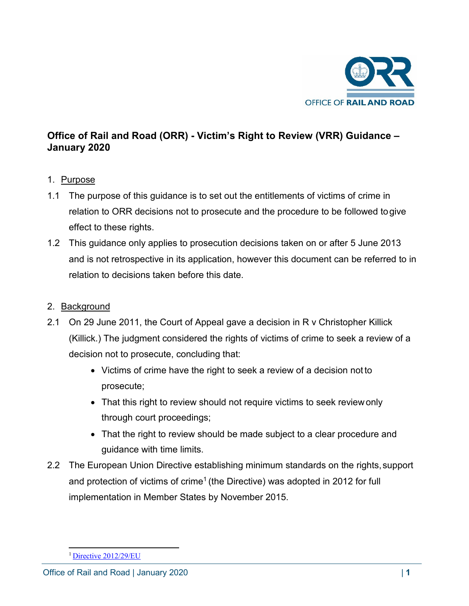

# **Office of Rail and Road (ORR) - Victim's Right to Review (VRR) Guidance – January 2020**

### 1. Purpose

- 1.1 The purpose of this guidance is to set out the entitlements of victims of crime in relation to ORR decisions not to prosecute and the procedure to be followed togive effect to these rights.
- 1.2 This guidance only applies to prosecution decisions taken on or after 5 June 2013 and is not retrospective in its application, however this document can be referred to in relation to decisions taken before this date.

# 2. Background

- 2.1 On 29 June 2011, the Court of Appeal gave a decision in R v Christopher Killick (Killick.) The judgment considered the rights of victims of crime to seek a review of a decision not to prosecute, concluding that:
	- Victims of crime have the right to seek a review of a decision not to prosecute;
	- That this right to review should not require victims to seek review only through court proceedings;
	- That the right to review should be made subject to a clear procedure and guidance with time limits.
- 2.2 The European Union Directive establishing minimum standards on the rights, support and protection of victims of crime<sup>1</sup> (the Directive) was adopted in 2012 for full implementation in Member States by November 2015.

<span id="page-0-0"></span>[<sup>1</sup> Directive 2012/29/EU](http://eur-lex.europa.eu/legal-content/EN/TXT/PDF/?uri=CELEX%3A32012L0029&qid=1454495195003&from=EN)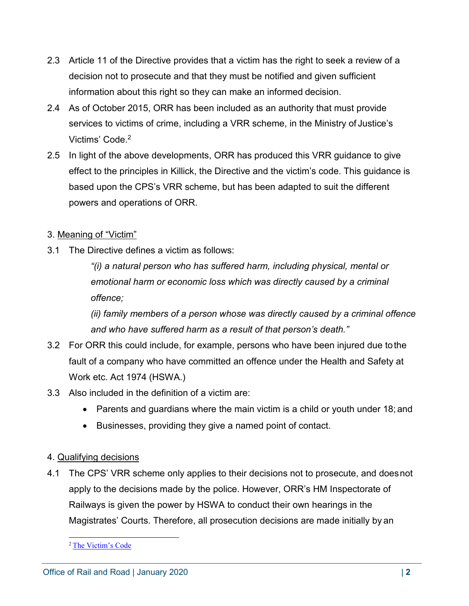- 2.3 Article 11 of the Directive provides that a victim has the right to seek a review of a decision not to prosecute and that they must be notified and given sufficient information about this right so they can make an informed decision.
- 2.4 As of October 2015, ORR has been included as an authority that must provide services to victims of crime, including a VRR scheme, in the Ministry of Justice's Victims' Code[.2](#page-1-0)
- 2.5 In light of the above developments, ORR has produced this VRR guidance to give effect to the principles in Killick, the Directive and the victim's code. This guidance is based upon the CPS's VRR scheme, but has been adapted to suit the different powers and operations of ORR.

### 3. Meaning of "Victim"

3.1 The Directive defines a victim as follows:

*"(i) a natural person who has suffered harm, including physical, mental or emotional harm or economic loss which was directly caused by a criminal offence;*

*(ii) family members of a person whose was directly caused by a criminal offence and who have suffered harm as a result of that person's death."*

- 3.2 For ORR this could include, for example, persons who have been injured due tothe fault of a company who have committed an offence under the Health and Safety at Work etc. Act 1974 (HSWA.)
- 3.3 Also included in the definition of a victim are:
	- Parents and guardians where the main victim is a child or youth under 18; and
	- Businesses, providing they give a named point of contact.

#### 4. Qualifying decisions

4.1 The CPS' VRR scheme only applies to their decisions not to prosecute, and doesnot apply to the decisions made by the police. However, ORR's HM Inspectorate of Railways is given the power by HSWA to conduct their own hearings in the Magistrates' Courts. Therefore, all prosecution decisions are made initially by an

<span id="page-1-0"></span>[<sup>2</sup> The Victim's Code](https://www.gov.uk/government/publications/the-code-of-practice-for-victims-of-crime)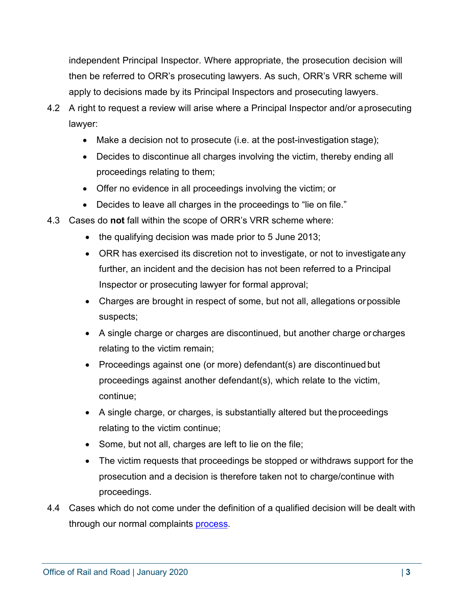independent Principal Inspector. Where appropriate, the prosecution decision will then be referred to ORR's prosecuting lawyers. As such, ORR's VRR scheme will apply to decisions made by its Principal Inspectors and prosecuting lawyers.

- 4.2 A right to request a review will arise where a Principal Inspector and/or aprosecuting lawyer:
	- Make a decision not to prosecute (i.e. at the post-investigation stage);
	- Decides to discontinue all charges involving the victim, thereby ending all proceedings relating to them;
	- Offer no evidence in all proceedings involving the victim; or
	- Decides to leave all charges in the proceedings to "lie on file."
- 4.3 Cases do **not** fall within the scope of ORR's VRR scheme where:
	- the qualifying decision was made prior to 5 June 2013;
	- ORR has exercised its discretion not to investigate, or not to investigateany further, an incident and the decision has not been referred to a Principal Inspector or prosecuting lawyer for formal approval;
	- Charges are brought in respect of some, but not all, allegations orpossible suspects;
	- A single charge or charges are discontinued, but another charge or charges relating to the victim remain;
	- Proceedings against one (or more) defendant(s) are discontinued but proceedings against another defendant(s), which relate to the victim, continue;
	- A single charge, or charges, is substantially altered but the proceedings relating to the victim continue;
	- Some, but not all, charges are left to lie on the file;
	- The victim requests that proceedings be stopped or withdraws support for the prosecution and a decision is therefore taken not to charge/continue with proceedings.
- 4.4 Cases which do not come under the definition of a qualified decision will be dealt with through our normal complaints [process.](http://orr.gov.uk/info-for-passengers/complaints)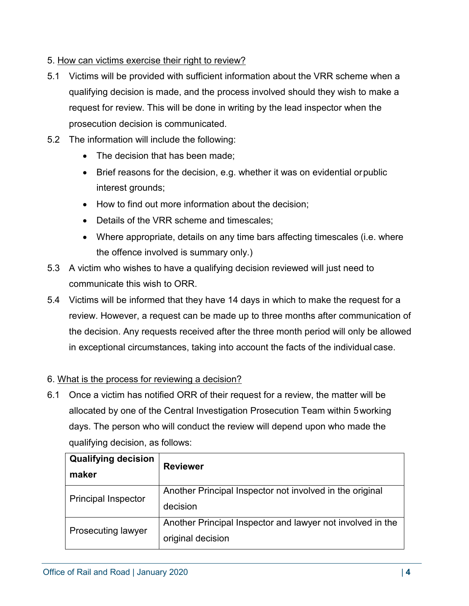# 5. How can victims exercise their right to review?

- 5.1 Victims will be provided with sufficient information about the VRR scheme when a qualifying decision is made, and the process involved should they wish to make a request for review. This will be done in writing by the lead inspector when the prosecution decision is communicated.
- 5.2 The information will include the following:
	- The decision that has been made;
	- Brief reasons for the decision, e.g. whether it was on evidential orpublic interest grounds;
	- How to find out more information about the decision;
	- Details of the VRR scheme and timescales:
	- Where appropriate, details on any time bars affecting timescales (i.e. where the offence involved is summary only.)
- 5.3 A victim who wishes to have a qualifying decision reviewed will just need to communicate this wish to ORR.
- 5.4 Victims will be informed that they have 14 days in which to make the request for a review. However, a request can be made up to three months after communication of the decision. Any requests received after the three month period will only be allowed in exceptional circumstances, taking into account the facts of the individual case.

### 6. What is the process for reviewing a decision?

6.1 Once a victim has notified ORR of their request for a review, the matter will be allocated by one of the Central Investigation Prosecution Team within 5working days. The person who will conduct the review will depend upon who made the qualifying decision, as follows:

| <b>Qualifying decision</b><br>maker | <b>Reviewer</b>                                                                 |
|-------------------------------------|---------------------------------------------------------------------------------|
| <b>Principal Inspector</b>          | Another Principal Inspector not involved in the original<br>decision            |
| <b>Prosecuting lawyer</b>           | Another Principal Inspector and lawyer not involved in the<br>original decision |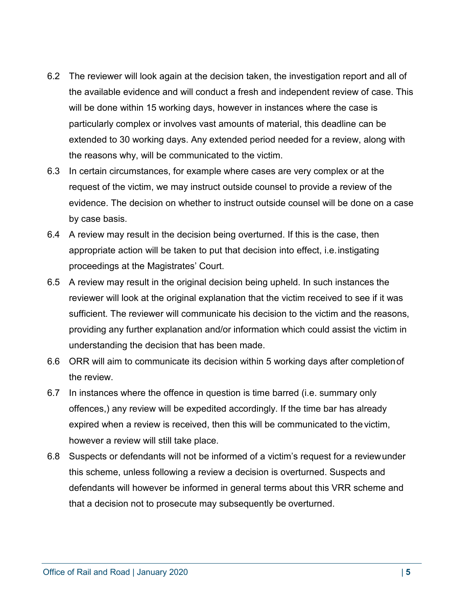- 6.2 The reviewer will look again at the decision taken, the investigation report and all of the available evidence and will conduct a fresh and independent review of case. This will be done within 15 working days, however in instances where the case is particularly complex or involves vast amounts of material, this deadline can be extended to 30 working days. Any extended period needed for a review, along with the reasons why, will be communicated to the victim.
- 6.3 In certain circumstances, for example where cases are very complex or at the request of the victim, we may instruct outside counsel to provide a review of the evidence. The decision on whether to instruct outside counsel will be done on a case by case basis.
- 6.4 A review may result in the decision being overturned. If this is the case, then appropriate action will be taken to put that decision into effect, i.e.instigating proceedings at the Magistrates' Court.
- 6.5 A review may result in the original decision being upheld. In such instances the reviewer will look at the original explanation that the victim received to see if it was sufficient. The reviewer will communicate his decision to the victim and the reasons, providing any further explanation and/or information which could assist the victim in understanding the decision that has been made.
- 6.6 ORR will aim to communicate its decision within 5 working days after completionof the review.
- 6.7 In instances where the offence in question is time barred (i.e. summary only offences,) any review will be expedited accordingly. If the time bar has already expired when a review is received, then this will be communicated to the victim, however a review will still take place.
- 6.8 Suspects or defendants will not be informed of a victim's request for a reviewunder this scheme, unless following a review a decision is overturned. Suspects and defendants will however be informed in general terms about this VRR scheme and that a decision not to prosecute may subsequently be overturned.